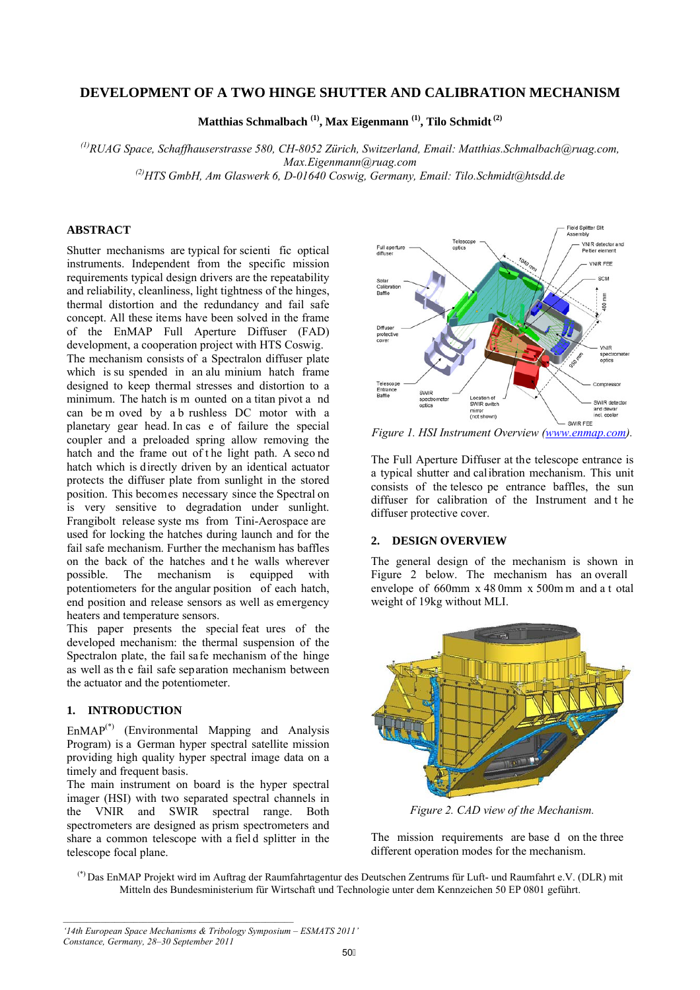# **DEVELOPMENT OF A TWO HINGE SHUTTER AND CALIBRATION MECHANISM**

**Matthias Schmalbach (1), Max Eigenmann (1), Tilo Schmidt (2)**

*(1)RUAG Space, Schaffhauserstrasse 580, CH-8052 Zürich, Switzerland, Email: Matthias.Schmalbach@ruag.com, Max.Eigenmann@ruag.com* 

*(2)HTS GmbH, Am Glaswerk 6, D-01640 Coswig, Germany, Email: Tilo.Schmidt@htsdd.de* 

## **ABSTRACT**

Shutter mechanisms are typical for scienti fic optical instruments. Independent from the specific mission requirements typical design drivers are the repeatability and reliability, cleanliness, light tightness of the hinges, thermal distortion and the redundancy and fail safe concept. All these items have been solved in the frame of the EnMAP Full Aperture Diffuser (FAD) development, a cooperation project with HTS Coswig. The mechanism consists of a Spectralon diffuser plate which is su spended in an alu minium hatch frame designed to keep thermal stresses and distortion to a minimum. The hatch is m ounted on a titan pivot a nd can be m oved by a b rushless DC motor with a planetary gear head. In cas e of failure the special coupler and a preloaded spring allow removing the hatch and the frame out of the light path. A second hatch which is directly driven by an identical actuator protects the diffuser plate from sunlight in the stored position. This becomes necessary since the Spectral on is very sensitive to degradation under sunlight. Frangibolt release syste ms from Tini-Aerospace are used for locking the hatches during launch and for the fail safe mechanism. Further the mechanism has baffles on the back of the hatches and t he walls wherever possible. The mechanism is equipped with potentiometers for the angular position of each hatch, end position and release sensors as well as emergency heaters and temperature sensors.

This paper presents the special feat ures of the developed mechanism: the thermal suspension of the Spectralon plate, the fail safe mechanism of the hinge as well as th e fail safe separation mechanism between the actuator and the potentiometer.

### **1. INTRODUCTION**

 $EMAP<sup>(*)</sup>$  (Environmental Mapping and Analysis Program) is a German hyper spectral satellite mission providing high quality hyper spectral image data on a timely and frequent basis.

The main instrument on board is the hyper spectral imager (HSI) with two separated spectral channels in the VNIR and SWIR spectral range. Both spectrometers are designed as prism spectrometers and share a common telescope with a fiel d splitter in the telescope focal plane.



*Figure 1. HSI Instrument Overview (www.enmap.com).* 

The Full Aperture Diffuser at the telescope entrance is a typical shutter and calibration mechanism. This unit consists of the telesco pe entrance baffles, the sun diffuser for calibration of the Instrument and t he diffuser protective cover.

### **2. DESIGN OVERVIEW**

The general design of the mechanism is shown in Figure 2 below. The mechanism has an overall envelope of 660mm x 48 0mm x 500m m and a t otal weight of 19kg without MLI.



*Figure 2. CAD view of the Mechanism.* 

The mission requirements are base d on the three different operation modes for the mechanism.

(\*) Das EnMAP Projekt wird im Auftrag der Raumfahrtagentur des Deutschen Zentrums für Luft- und Raumfahrt e.V. (DLR) mit Mitteln des Bundesministerium für Wirtschaft und Technologie unter dem Kennzeichen 50 EP 0801 geführt.

*'14th European Space Mechanisms & Tribology Symposium – ESMATS 2011' Constance, Germany, 28–30 September 2011*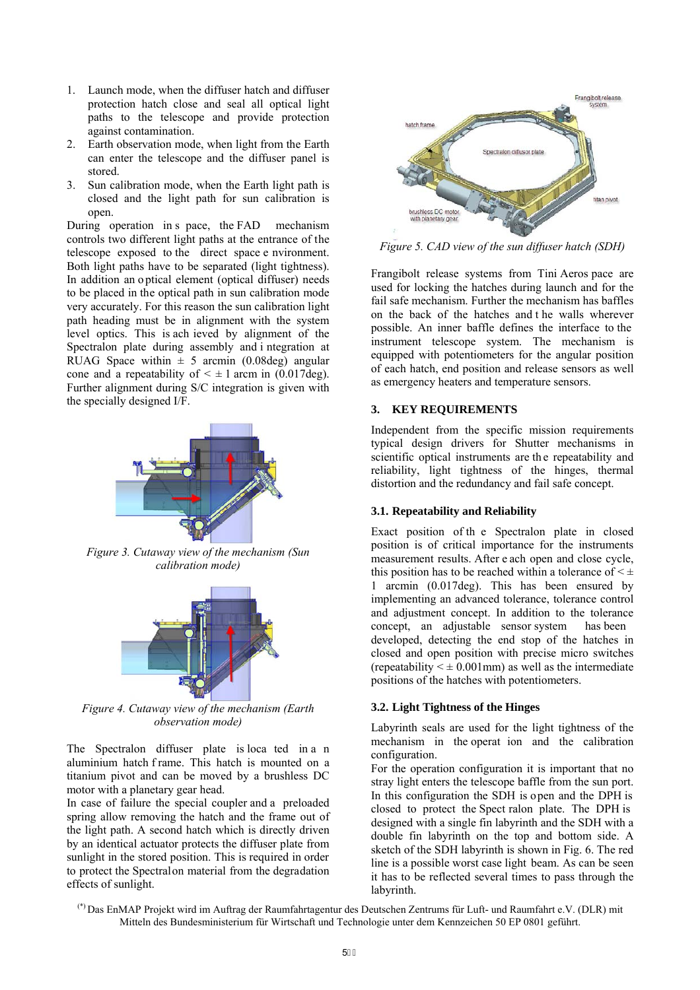- 1. Launch mode, when the diffuser hatch and diffuser protection hatch close and seal all optical light paths to the telescope and provide protection against contamination.
- 2. Earth observation mode, when light from the Earth can enter the telescope and the diffuser panel is stored.
- 3. Sun calibration mode, when the Earth light path is closed and the light path for sun calibration is open.

During operation in s pace, the FAD mechanism controls two different light paths at the entrance of the telescope exposed to the direct space e nvironment. Both light paths have to be separated (light tightness). In addition an o ptical element (optical diffuser) needs to be placed in the optical path in sun calibration mode very accurately. For this reason the sun calibration light path heading must be in alignment with the system level optics. This is ach ieved by alignment of the Spectralon plate during assembly and i ntegration at RUAG Space within  $\pm$  5 arcmin (0.08deg) angular cone and a repeatability of  $\leq \pm 1$  arcm in (0.017deg). Further alignment during S/C integration is given with the specially designed I/F.



*Figure 3. Cutaway view of the mechanism (Sun calibration mode)* 



*Figure 4. Cutaway view of the mechanism (Earth observation mode)* 

The Spectralon diffuser plate is loca ted in a n aluminium hatch f rame. This hatch is mounted on a titanium pivot and can be moved by a brushless DC motor with a planetary gear head.

In case of failure the special coupler and a preloaded spring allow removing the hatch and the frame out of the light path. A second hatch which is directly driven by an identical actuator protects the diffuser plate from sunlight in the stored position. This is required in order to protect the Spectralon material from the degradation effects of sunlight.



*Figure 5. CAD view of the sun diffuser hatch (SDH)* 

Frangibolt release systems from Tini Aeros pace are used for locking the hatches during launch and for the fail safe mechanism. Further the mechanism has baffles on the back of the hatches and t he walls wherever possible. An inner baffle defines the interface to the instrument telescope system. The mechanism is equipped with potentiometers for the angular position of each hatch, end position and release sensors as well as emergency heaters and temperature sensors.

### **3. KEY REQUIREMENTS**

Independent from the specific mission requirements typical design drivers for Shutter mechanisms in scientific optical instruments are th e repeatability and reliability, light tightness of the hinges, thermal distortion and the redundancy and fail safe concept.

### **3.1. Repeatability and Reliability**

Exact position of th e Spectralon plate in closed position is of critical importance for the instruments measurement results. After e ach open and close cycle, this position has to be reached within a tolerance of  $\leq \pm$ 1 arcmin (0.017deg). This has been ensured by implementing an advanced tolerance, tolerance control and adjustment concept. In addition to the tolerance concept, an adjustable sensor system has been developed, detecting the end stop of the hatches in closed and open position with precise micro switches (repeatability  $\leq \pm 0.001$  mm) as well as the intermediate positions of the hatches with potentiometers.

### **3.2. Light Tightness of the Hinges**

Labyrinth seals are used for the light tightness of the mechanism in the operat ion and the calibration configuration.

For the operation configuration it is important that no stray light enters the telescope baffle from the sun port. In this configuration the SDH is open and the DPH is closed to protect the Spect ralon plate. The DPH is designed with a single fin labyrinth and the SDH with a double fin labyrinth on the top and bottom side. A sketch of the SDH labyrinth is shown in Fig. 6. The red line is a possible worst case light beam. As can be seen it has to be reflected several times to pass through the labyrinth.

(\*) Das EnMAP Projekt wird im Auftrag der Raumfahrtagentur des Deutschen Zentrums für Luft- und Raumfahrt e.V. (DLR) mit Mitteln des Bundesministerium für Wirtschaft und Technologie unter dem Kennzeichen 50 EP 0801 geführt.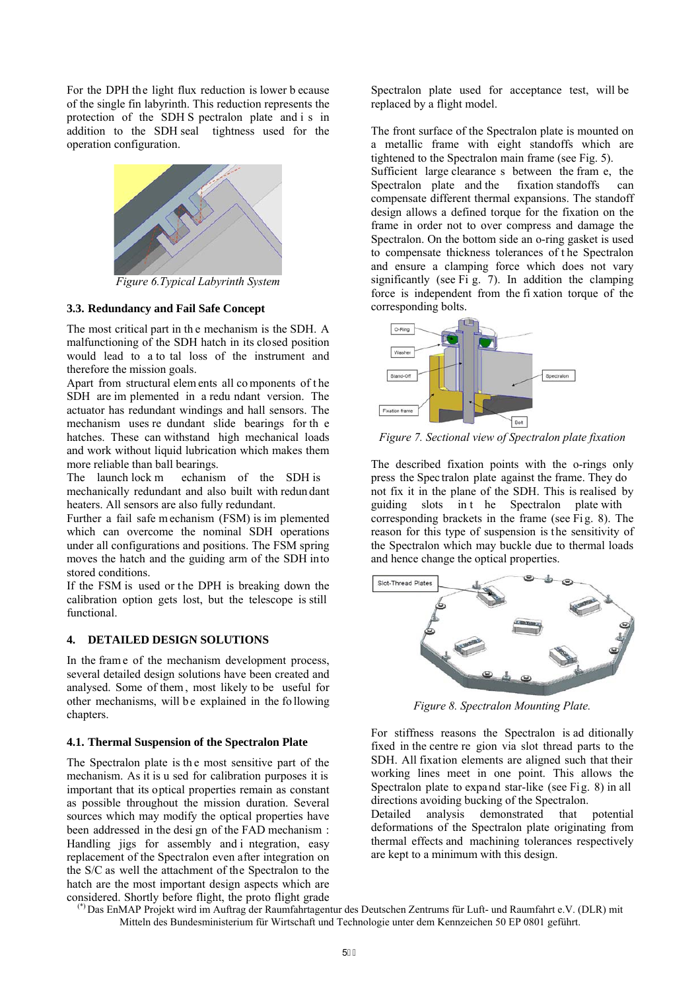For the DPH the light flux reduction is lower b ecause of the single fin labyrinth. This reduction represents the protection of the SDH S pectralon plate and i s in addition to the SDH seal tightness used for the operation configuration.



*Figure 6.Typical Labyrinth System* 

### **3.3. Redundancy and Fail Safe Concept**

The most critical part in th e mechanism is the SDH. A malfunctioning of the SDH hatch in its closed position would lead to a to tal loss of the instrument and therefore the mission goals.

Apart from structural elem ents all co mponents of t he SDH are im plemented in a redu ndant version. The actuator has redundant windings and hall sensors. The mechanism uses re dundant slide bearings for th e hatches. These can withstand high mechanical loads and work without liquid lubrication which makes them more reliable than ball bearings.

The launch lock m echanism of the SDH is mechanically redundant and also built with redun dant heaters. All sensors are also fully redundant.

Further a fail safe m echanism (FSM) is im plemented which can overcome the nominal SDH operations under all configurations and positions. The FSM spring moves the hatch and the guiding arm of the SDH into stored conditions.

If the FSM is used or the DPH is breaking down the calibration option gets lost, but the telescope is still functional.

### **4. DETAILED DESIGN SOLUTIONS**

In the fram e of the mechanism development process, several detailed design solutions have been created and analysed. Some of them , most likely to be useful for other mechanisms, will be explained in the following chapters.

#### **4.1. Thermal Suspension of the Spectralon Plate**

The Spectralon plate is the most sensitive part of the mechanism. As it is u sed for calibration purposes it is important that its optical properties remain as constant as possible throughout the mission duration. Several sources which may modify the optical properties have been addressed in the desi gn of the FAD mechanism : Handling jigs for assembly and i ntegration, easy replacement of the Spectralon even after integration on the S/C as well the attachment of the Spectralon to the hatch are the most important design aspects which are considered. Shortly before flight, the proto flight grade Spectralon plate used for acceptance test, will be replaced by a flight model.

The front surface of the Spectralon plate is mounted on a metallic frame with eight standoffs which are tightened to the Spectralon main frame (see Fig. 5).

Sufficient large clearance s between the fram e, the Spectralon plate and the fixation standoffs can compensate different thermal expansions. The standoff design allows a defined torque for the fixation on the frame in order not to over compress and damage the Spectralon. On the bottom side an o-ring gasket is used to compensate thickness tolerances of t he Spectralon and ensure a clamping force which does not vary significantly (see Fi g. 7). In addition the clamping force is independent from the fi xation torque of the corresponding bolts.



*Figure 7. Sectional view of Spectralon plate fixation* 

The described fixation points with the o-rings only press the Spec tralon plate against the frame. They do not fix it in the plane of the SDH. This is realised by guiding slots in t he Spectralon plate with corresponding brackets in the frame (see Fig. 8). The reason for this type of suspension is the sensitivity of the Spectralon which may buckle due to thermal loads and hence change the optical properties.



*Figure 8. Spectralon Mounting Plate.* 

For stiffness reasons the Spectralon is ad ditionally fixed in the centre re gion via slot thread parts to the SDH. All fixation elements are aligned such that their working lines meet in one point. This allows the Spectralon plate to expand star-like (see Fig. 8) in all directions avoiding bucking of the Spectralon.

Detailed analysis demonstrated that potential deformations of the Spectralon plate originating from thermal effects and machining tolerances respectively are kept to a minimum with this design.

(\*) Das EnMAP Projekt wird im Auftrag der Raumfahrtagentur des Deutschen Zentrums für Luft- und Raumfahrt e.V. (DLR) mit Mitteln des Bundesministerium für Wirtschaft und Technologie unter dem Kennzeichen 50 EP 0801 geführt.